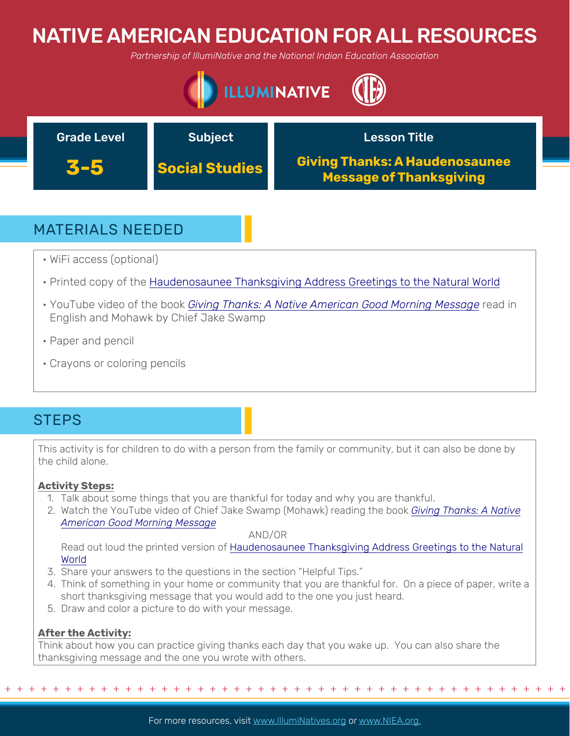# NATIVE AMERICAN EDUCATION FOR ALL RESOURCES

*Partnership of IllumiNative and the National Indian Education Association*





## MATERIALS NEEDED

- WiFi access (optional)
- Printed copy of the [Haudenosaunee Thanksgiving Address Greetings to the Natural World](https://americanindian.si.edu/environment/pdf/01_02_Thanksgiving_Address.pdf)
- YouTube video of the book *[Giving Thanks: A Native American Good Morning Message](https://www.youtube.com/watch?v=ggfVuY4LJuo&t=24s)* read in English and Mohawk by Chief Jake Swamp
- Paper and pencil
- Crayons or coloring pencils

## **STEPS**

This activity is for children to do with a person from the family or community, but it can also be done by the child alone.

### **Activity Steps:**

- 1. Talk about some things that you are thankful for today and why you are thankful.
- 2. [Watch the YouTube video of Chief Jake Swamp \(Mohawk\) reading the book](https://www.youtube.com/watch?v=ggfVuY4LJuo&t=24s) *Giving Thanks: A Native American Good Morning Message*

### AND/OR

[Read out loud the printed version of Haudenosaunee Thanksgiving Address Greetings to the Natural](https://americanindian.si.edu/environment/pdf/01_02_Thanksgiving_Address.pdf) World

- 3. Share your answers to the questions in the section "Helpful Tips."
- 4. Think of something in your home or community that you are thankful for. On a piece of paper, write a short thanksgiving message that you would add to the one you just heard.
- 5. Draw and color a picture to do with your message.

### **After the Activity:**

Think about how you can practice giving thanks each day that you wake up. You can also share the thanksgiving message and the one you wrote with others.

+ + + + + + + + + + + + + + + + + + + + + + + + + + + + + + + + + + + + + + + + + + + + + + + +